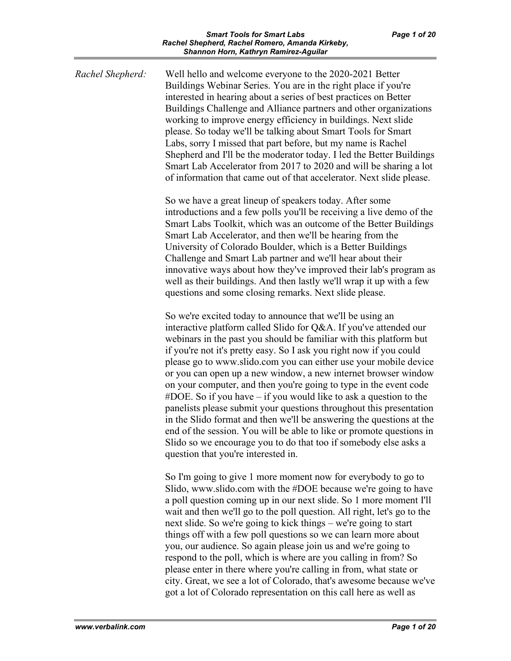| Rachel Shepherd: | Well hello and welcome everyone to the 2020-2021 Better<br>Buildings Webinar Series. You are in the right place if you're<br>interested in hearing about a series of best practices on Better<br>Buildings Challenge and Alliance partners and other organizations<br>working to improve energy efficiency in buildings. Next slide<br>please. So today we'll be talking about Smart Tools for Smart<br>Labs, sorry I missed that part before, but my name is Rachel<br>Shepherd and I'll be the moderator today. I led the Better Buildings<br>Smart Lab Accelerator from 2017 to 2020 and will be sharing a lot<br>of information that came out of that accelerator. Next slide please.                                                                                                                                                                                                     |
|------------------|-----------------------------------------------------------------------------------------------------------------------------------------------------------------------------------------------------------------------------------------------------------------------------------------------------------------------------------------------------------------------------------------------------------------------------------------------------------------------------------------------------------------------------------------------------------------------------------------------------------------------------------------------------------------------------------------------------------------------------------------------------------------------------------------------------------------------------------------------------------------------------------------------|
|                  | So we have a great lineup of speakers today. After some<br>introductions and a few polls you'll be receiving a live demo of the<br>Smart Labs Toolkit, which was an outcome of the Better Buildings<br>Smart Lab Accelerator, and then we'll be hearing from the<br>University of Colorado Boulder, which is a Better Buildings<br>Challenge and Smart Lab partner and we'll hear about their<br>innovative ways about how they've improved their lab's program as<br>well as their buildings. And then lastly we'll wrap it up with a few<br>questions and some closing remarks. Next slide please.                                                                                                                                                                                                                                                                                          |
|                  | So we're excited today to announce that we'll be using an<br>interactive platform called Slido for Q&A. If you've attended our<br>webinars in the past you should be familiar with this platform but<br>if you're not it's pretty easy. So I ask you right now if you could<br>please go to www.slido.com you can either use your mobile device<br>or you can open up a new window, a new internet browser window<br>on your computer, and then you're going to type in the event code<br>#DOE. So if you have – if you would like to ask a question to the<br>panelists please submit your questions throughout this presentation<br>in the Slido format and then we'll be answering the questions at the<br>end of the session. You will be able to like or promote questions in<br>Slido so we encourage you to do that too if somebody else asks a<br>question that you're interested in. |
|                  | So I'm going to give 1 more moment now for everybody to go to<br>Slido, www.slido.com with the #DOE because we're going to have<br>a poll question coming up in our next slide. So 1 more moment I'll<br>wait and then we'll go to the poll question. All right, let's go to the<br>next slide. So we're going to kick things – we're going to start<br>things off with a few poll questions so we can learn more about<br>you, our audience. So again please join us and we're going to<br>respond to the poll, which is where are you calling in from? So                                                                                                                                                                                                                                                                                                                                   |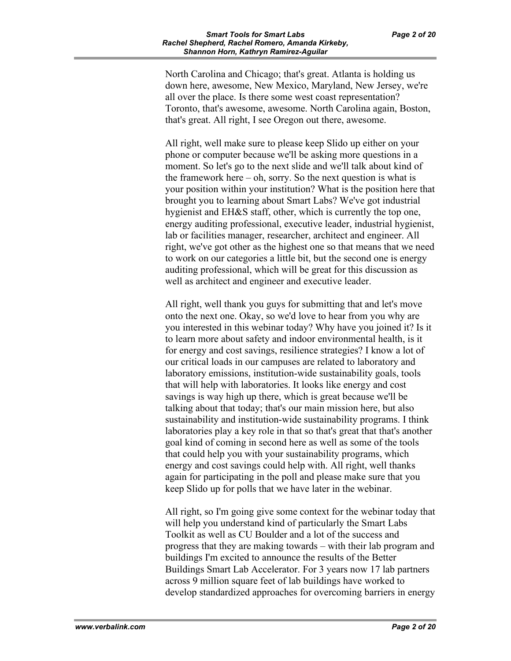North Carolina and Chicago; that's great. Atlanta is holding us down here, awesome, New Mexico, Maryland, New Jersey, we're all over the place. Is there some west coast representation? Toronto, that's awesome, awesome. North Carolina again, Boston, that's great. All right, I see Oregon out there, awesome.

All right, well make sure to please keep Slido up either on your phone or computer because we'll be asking more questions in a moment. So let's go to the next slide and we'll talk about kind of the framework here  $-$  oh, sorry. So the next question is what is your position within your institution? What is the position here that brought you to learning about Smart Labs? We've got industrial hygienist and EH&S staff, other, which is currently the top one, energy auditing professional, executive leader, industrial hygienist, lab or facilities manager, researcher, architect and engineer. All right, we've got other as the highest one so that means that we need to work on our categories a little bit, but the second one is energy auditing professional, which will be great for this discussion as well as architect and engineer and executive leader.

All right, well thank you guys for submitting that and let's move onto the next one. Okay, so we'd love to hear from you why are you interested in this webinar today? Why have you joined it? Is it to learn more about safety and indoor environmental health, is it for energy and cost savings, resilience strategies? I know a lot of our critical loads in our campuses are related to laboratory and laboratory emissions, institution-wide sustainability goals, tools that will help with laboratories. It looks like energy and cost savings is way high up there, which is great because we'll be talking about that today; that's our main mission here, but also sustainability and institution-wide sustainability programs. I think laboratories play a key role in that so that's great that that's another goal kind of coming in second here as well as some of the tools that could help you with your sustainability programs, which energy and cost savings could help with. All right, well thanks again for participating in the poll and please make sure that you keep Slido up for polls that we have later in the webinar.

All right, so I'm going give some context for the webinar today that will help you understand kind of particularly the Smart Labs Toolkit as well as CU Boulder and a lot of the success and progress that they are making towards – with their lab program and buildings I'm excited to announce the results of the Better Buildings Smart Lab Accelerator. For 3 years now 17 lab partners across 9 million square feet of lab buildings have worked to develop standardized approaches for overcoming barriers in energy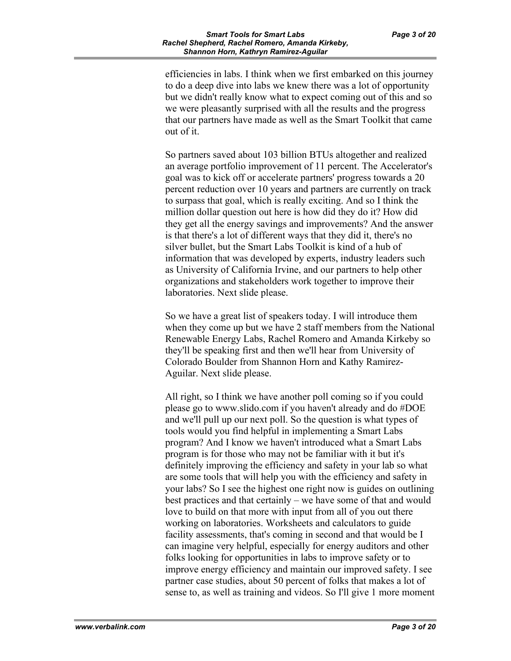efficiencies in labs. I think when we first embarked on this journey to do a deep dive into labs we knew there was a lot of opportunity but we didn't really know what to expect coming out of this and so we were pleasantly surprised with all the results and the progress that our partners have made as well as the Smart Toolkit that came out of it.

So partners saved about 103 billion BTUs altogether and realized an average portfolio improvement of 11 percent. The Accelerator's goal was to kick off or accelerate partners' progress towards a 20 percent reduction over 10 years and partners are currently on track to surpass that goal, which is really exciting. And so I think the million dollar question out here is how did they do it? How did they get all the energy savings and improvements? And the answer is that there's a lot of different ways that they did it, there's no silver bullet, but the Smart Labs Toolkit is kind of a hub of information that was developed by experts, industry leaders such as University of California Irvine, and our partners to help other organizations and stakeholders work together to improve their laboratories. Next slide please.

So we have a great list of speakers today. I will introduce them when they come up but we have 2 staff members from the National Renewable Energy Labs, Rachel Romero and Amanda Kirkeby so they'll be speaking first and then we'll hear from University of Colorado Boulder from Shannon Horn and Kathy Ramirez-Aguilar. Next slide please.

All right, so I think we have another poll coming so if you could please go to www.slido.com if you haven't already and do #DOE and we'll pull up our next poll. So the question is what types of tools would you find helpful in implementing a Smart Labs program? And I know we haven't introduced what a Smart Labs program is for those who may not be familiar with it but it's definitely improving the efficiency and safety in your lab so what are some tools that will help you with the efficiency and safety in your labs? So I see the highest one right now is guides on outlining best practices and that certainly – we have some of that and would love to build on that more with input from all of you out there working on laboratories. Worksheets and calculators to guide facility assessments, that's coming in second and that would be I can imagine very helpful, especially for energy auditors and other folks looking for opportunities in labs to improve safety or to improve energy efficiency and maintain our improved safety. I see partner case studies, about 50 percent of folks that makes a lot of sense to, as well as training and videos. So I'll give 1 more moment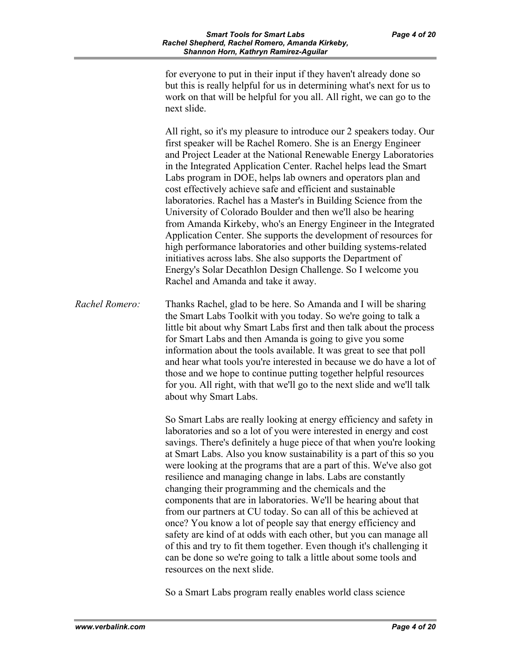for everyone to put in their input if they haven't already done so but this is really helpful for us in determining what's next for us to work on that will be helpful for you all. All right, we can go to the next slide.

All right, so it's my pleasure to introduce our 2 speakers today. Our first speaker will be Rachel Romero. She is an Energy Engineer and Project Leader at the National Renewable Energy Laboratories in the Integrated Application Center. Rachel helps lead the Smart Labs program in DOE, helps lab owners and operators plan and cost effectively achieve safe and efficient and sustainable laboratories. Rachel has a Master's in Building Science from the University of Colorado Boulder and then we'll also be hearing from Amanda Kirkeby, who's an Energy Engineer in the Integrated Application Center. She supports the development of resources for high performance laboratories and other building systems-related initiatives across labs. She also supports the Department of Energy's Solar Decathlon Design Challenge. So I welcome you Rachel and Amanda and take it away.

*Rachel Romero:* Thanks Rachel, glad to be here. So Amanda and I will be sharing the Smart Labs Toolkit with you today. So we're going to talk a little bit about why Smart Labs first and then talk about the process for Smart Labs and then Amanda is going to give you some information about the tools available. It was great to see that poll and hear what tools you're interested in because we do have a lot of those and we hope to continue putting together helpful resources for you. All right, with that we'll go to the next slide and we'll talk about why Smart Labs.

> So Smart Labs are really looking at energy efficiency and safety in laboratories and so a lot of you were interested in energy and cost savings. There's definitely a huge piece of that when you're looking at Smart Labs. Also you know sustainability is a part of this so you were looking at the programs that are a part of this. We've also got resilience and managing change in labs. Labs are constantly changing their programming and the chemicals and the components that are in laboratories. We'll be hearing about that from our partners at CU today. So can all of this be achieved at once? You know a lot of people say that energy efficiency and safety are kind of at odds with each other, but you can manage all of this and try to fit them together. Even though it's challenging it can be done so we're going to talk a little about some tools and resources on the next slide.

So a Smart Labs program really enables world class science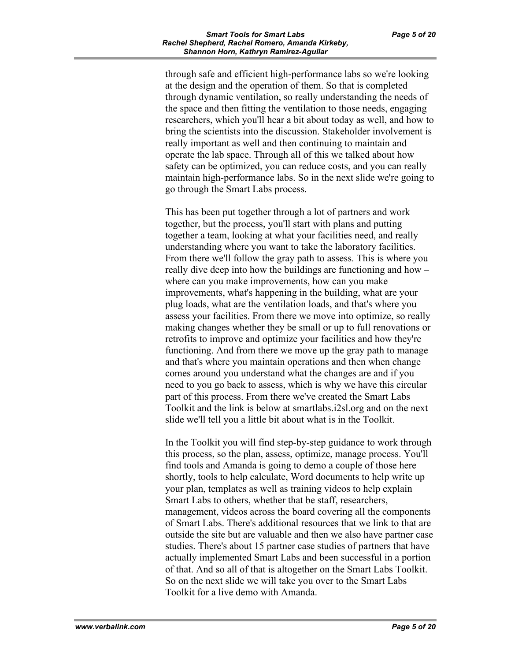through safe and efficient high-performance labs so we're looking at the design and the operation of them. So that is completed through dynamic ventilation, so really understanding the needs of the space and then fitting the ventilation to those needs, engaging researchers, which you'll hear a bit about today as well, and how to bring the scientists into the discussion. Stakeholder involvement is really important as well and then continuing to maintain and operate the lab space. Through all of this we talked about how safety can be optimized, you can reduce costs, and you can really maintain high-performance labs. So in the next slide we're going to go through the Smart Labs process.

This has been put together through a lot of partners and work together, but the process, you'll start with plans and putting together a team, looking at what your facilities need, and really understanding where you want to take the laboratory facilities. From there we'll follow the gray path to assess. This is where you really dive deep into how the buildings are functioning and how – where can you make improvements, how can you make improvements, what's happening in the building, what are your plug loads, what are the ventilation loads, and that's where you assess your facilities. From there we move into optimize, so really making changes whether they be small or up to full renovations or retrofits to improve and optimize your facilities and how they're functioning. And from there we move up the gray path to manage and that's where you maintain operations and then when change comes around you understand what the changes are and if you need to you go back to assess, which is why we have this circular part of this process. From there we've created the Smart Labs Toolkit and the link is below at smartlabs.i2sl.org and on the next slide we'll tell you a little bit about what is in the Toolkit.

In the Toolkit you will find step-by-step guidance to work through this process, so the plan, assess, optimize, manage process. You'll find tools and Amanda is going to demo a couple of those here shortly, tools to help calculate, Word documents to help write up your plan, templates as well as training videos to help explain Smart Labs to others, whether that be staff, researchers, management, videos across the board covering all the components of Smart Labs. There's additional resources that we link to that are outside the site but are valuable and then we also have partner case studies. There's about 15 partner case studies of partners that have actually implemented Smart Labs and been successful in a portion of that. And so all of that is altogether on the Smart Labs Toolkit. So on the next slide we will take you over to the Smart Labs Toolkit for a live demo with Amanda.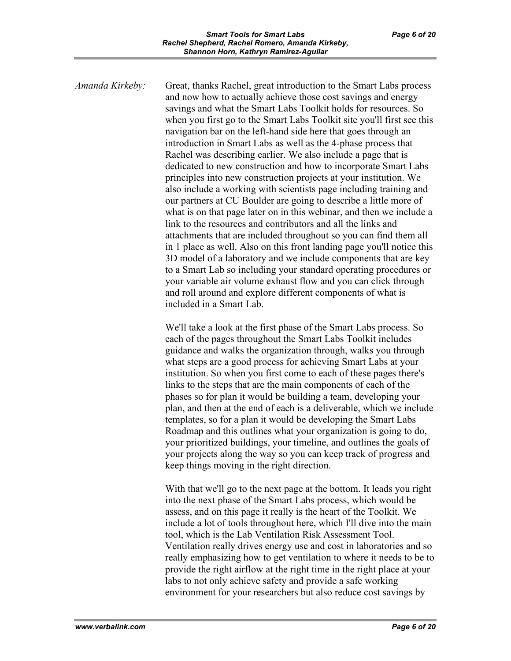*Amanda Kirkeby:* Great, thanks Rachel, great introduction to the Smart Labs process and now how to actually achieve those cost savings and energy savings and what the Smart Labs Toolkit holds for resources. So when you first go to the Smart Labs Toolkit site you'll first see this navigation bar on the left-hand side here that goes through an introduction in Smart Labs as well as the 4-phase process that Rachel was describing earlier. We also include a page that is dedicated to new construction and how to incorporate Smart Labs principles into new construction projects at your institution. We also include a working with scientists page including training and our partners at CU Boulder are going to describe a little more of what is on that page later on in this webinar, and then we include a link to the resources and contributors and all the links and attachments that are included throughout so you can find them all in 1 place as well. Also on this front landing page you'll notice this 3D model of a laboratory and we include components that are key to a Smart Lab so including your standard operating procedures or your variable air volume exhaust flow and you can click through and roll around and explore different components of what is included in a Smart Lab.

> We'll take a look at the first phase of the Smart Labs process. So each of the pages throughout the Smart Labs Toolkit includes guidance and walks the organization through, walks you through what steps are a good process for achieving Smart Labs at your institution. So when you first come to each of these pages there's links to the steps that are the main components of each of the phases so for plan it would be building a team, developing your plan, and then at the end of each is a deliverable, which we include templates, so for a plan it would be developing the Smart Labs Roadmap and this outlines what your organization is going to do, your prioritized buildings, your timeline, and outlines the goals of your projects along the way so you can keep track of progress and keep things moving in the right direction.

> With that we'll go to the next page at the bottom. It leads you right into the next phase of the Smart Labs process, which would be assess, and on this page it really is the heart of the Toolkit. We include a lot of tools throughout here, which I'll dive into the main tool, which is the Lab Ventilation Risk Assessment Tool. Ventilation really drives energy use and cost in laboratories and so really emphasizing how to get ventilation to where it needs to be to provide the right airflow at the right time in the right place at your labs to not only achieve safety and provide a safe working environment for your researchers but also reduce cost savings by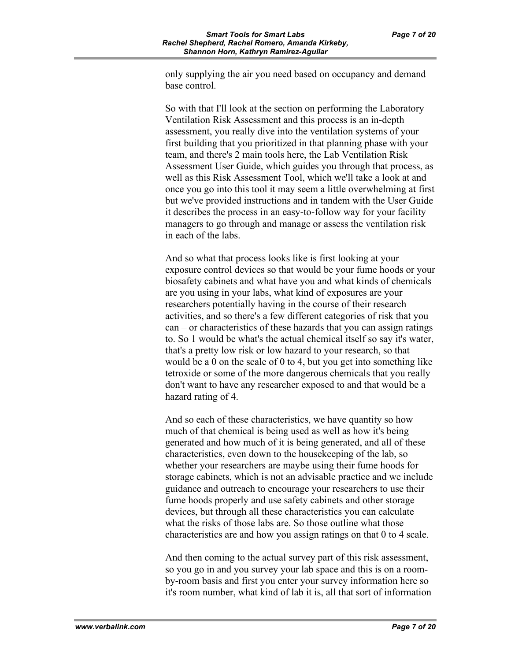only supplying the air you need based on occupancy and demand base control.

So with that I'll look at the section on performing the Laboratory Ventilation Risk Assessment and this process is an in-depth assessment, you really dive into the ventilation systems of your first building that you prioritized in that planning phase with your team, and there's 2 main tools here, the Lab Ventilation Risk Assessment User Guide, which guides you through that process, as well as this Risk Assessment Tool, which we'll take a look at and once you go into this tool it may seem a little overwhelming at first but we've provided instructions and in tandem with the User Guide it describes the process in an easy-to-follow way for your facility managers to go through and manage or assess the ventilation risk in each of the labs.

And so what that process looks like is first looking at your exposure control devices so that would be your fume hoods or your biosafety cabinets and what have you and what kinds of chemicals are you using in your labs, what kind of exposures are your researchers potentially having in the course of their research activities, and so there's a few different categories of risk that you can – or characteristics of these hazards that you can assign ratings to. So 1 would be what's the actual chemical itself so say it's water, that's a pretty low risk or low hazard to your research, so that would be a 0 on the scale of 0 to 4, but you get into something like tetroxide or some of the more dangerous chemicals that you really don't want to have any researcher exposed to and that would be a hazard rating of 4.

And so each of these characteristics, we have quantity so how much of that chemical is being used as well as how it's being generated and how much of it is being generated, and all of these characteristics, even down to the housekeeping of the lab, so whether your researchers are maybe using their fume hoods for storage cabinets, which is not an advisable practice and we include guidance and outreach to encourage your researchers to use their fume hoods properly and use safety cabinets and other storage devices, but through all these characteristics you can calculate what the risks of those labs are. So those outline what those characteristics are and how you assign ratings on that 0 to 4 scale.

And then coming to the actual survey part of this risk assessment, so you go in and you survey your lab space and this is on a roomby-room basis and first you enter your survey information here so it's room number, what kind of lab it is, all that sort of information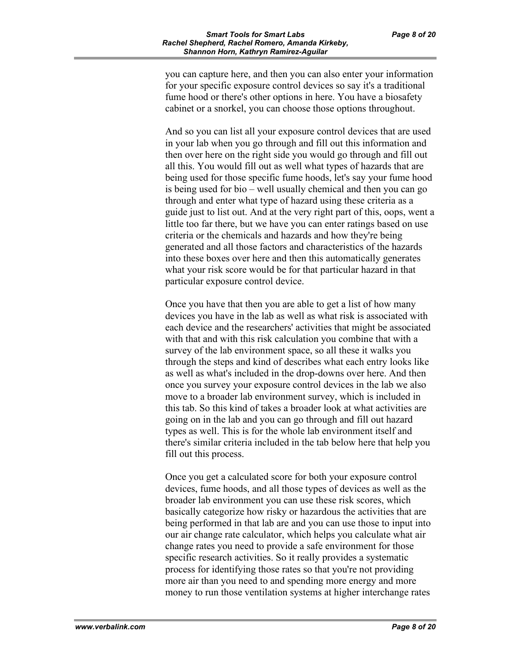you can capture here, and then you can also enter your information for your specific exposure control devices so say it's a traditional fume hood or there's other options in here. You have a biosafety cabinet or a snorkel, you can choose those options throughout.

And so you can list all your exposure control devices that are used in your lab when you go through and fill out this information and then over here on the right side you would go through and fill out all this. You would fill out as well what types of hazards that are being used for those specific fume hoods, let's say your fume hood is being used for bio – well usually chemical and then you can go through and enter what type of hazard using these criteria as a guide just to list out. And at the very right part of this, oops, went a little too far there, but we have you can enter ratings based on use criteria or the chemicals and hazards and how they're being generated and all those factors and characteristics of the hazards into these boxes over here and then this automatically generates what your risk score would be for that particular hazard in that particular exposure control device.

Once you have that then you are able to get a list of how many devices you have in the lab as well as what risk is associated with each device and the researchers' activities that might be associated with that and with this risk calculation you combine that with a survey of the lab environment space, so all these it walks you through the steps and kind of describes what each entry looks like as well as what's included in the drop-downs over here. And then once you survey your exposure control devices in the lab we also move to a broader lab environment survey, which is included in this tab. So this kind of takes a broader look at what activities are going on in the lab and you can go through and fill out hazard types as well. This is for the whole lab environment itself and there's similar criteria included in the tab below here that help you fill out this process.

Once you get a calculated score for both your exposure control devices, fume hoods, and all those types of devices as well as the broader lab environment you can use these risk scores, which basically categorize how risky or hazardous the activities that are being performed in that lab are and you can use those to input into our air change rate calculator, which helps you calculate what air change rates you need to provide a safe environment for those specific research activities. So it really provides a systematic process for identifying those rates so that you're not providing more air than you need to and spending more energy and more money to run those ventilation systems at higher interchange rates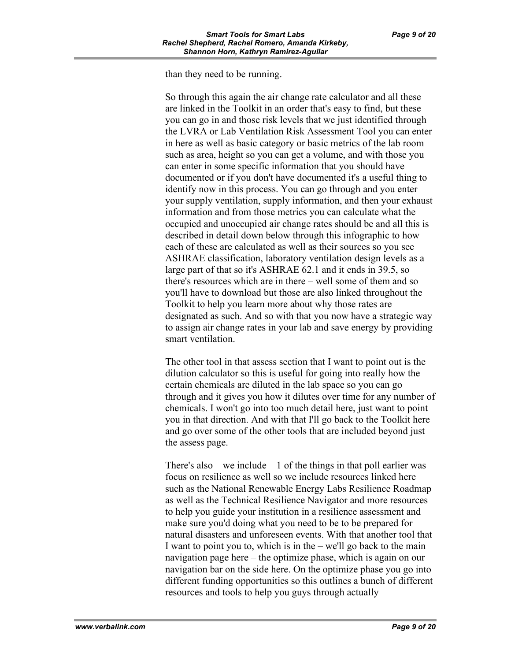than they need to be running.

So through this again the air change rate calculator and all these are linked in the Toolkit in an order that's easy to find, but these you can go in and those risk levels that we just identified through the LVRA or Lab Ventilation Risk Assessment Tool you can enter in here as well as basic category or basic metrics of the lab room such as area, height so you can get a volume, and with those you can enter in some specific information that you should have documented or if you don't have documented it's a useful thing to identify now in this process. You can go through and you enter your supply ventilation, supply information, and then your exhaust information and from those metrics you can calculate what the occupied and unoccupied air change rates should be and all this is described in detail down below through this infographic to how each of these are calculated as well as their sources so you see ASHRAE classification, laboratory ventilation design levels as a large part of that so it's ASHRAE 62.1 and it ends in 39.5, so there's resources which are in there – well some of them and so you'll have to download but those are also linked throughout the Toolkit to help you learn more about why those rates are designated as such. And so with that you now have a strategic way to assign air change rates in your lab and save energy by providing smart ventilation.

The other tool in that assess section that I want to point out is the dilution calculator so this is useful for going into really how the certain chemicals are diluted in the lab space so you can go through and it gives you how it dilutes over time for any number of chemicals. I won't go into too much detail here, just want to point you in that direction. And with that I'll go back to the Toolkit here and go over some of the other tools that are included beyond just the assess page.

There's also – we include – 1 of the things in that poll earlier was focus on resilience as well so we include resources linked here such as the National Renewable Energy Labs Resilience Roadmap as well as the Technical Resilience Navigator and more resources to help you guide your institution in a resilience assessment and make sure you'd doing what you need to be to be prepared for natural disasters and unforeseen events. With that another tool that I want to point you to, which is in the – we'll go back to the main navigation page here – the optimize phase, which is again on our navigation bar on the side here. On the optimize phase you go into different funding opportunities so this outlines a bunch of different resources and tools to help you guys through actually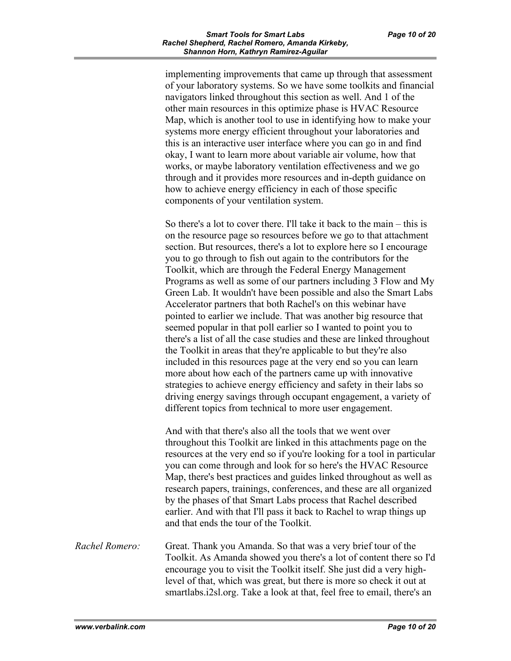implementing improvements that came up through that assessment of your laboratory systems. So we have some toolkits and financial navigators linked throughout this section as well. And 1 of the other main resources in this optimize phase is HVAC Resource Map, which is another tool to use in identifying how to make your systems more energy efficient throughout your laboratories and this is an interactive user interface where you can go in and find okay, I want to learn more about variable air volume, how that works, or maybe laboratory ventilation effectiveness and we go through and it provides more resources and in-depth guidance on how to achieve energy efficiency in each of those specific components of your ventilation system.

So there's a lot to cover there. I'll take it back to the main – this is on the resource page so resources before we go to that attachment section. But resources, there's a lot to explore here so I encourage you to go through to fish out again to the contributors for the Toolkit, which are through the Federal Energy Management Programs as well as some of our partners including 3 Flow and My Green Lab. It wouldn't have been possible and also the Smart Labs Accelerator partners that both Rachel's on this webinar have pointed to earlier we include. That was another big resource that seemed popular in that poll earlier so I wanted to point you to there's a list of all the case studies and these are linked throughout the Toolkit in areas that they're applicable to but they're also included in this resources page at the very end so you can learn more about how each of the partners came up with innovative strategies to achieve energy efficiency and safety in their labs so driving energy savings through occupant engagement, a variety of different topics from technical to more user engagement.

And with that there's also all the tools that we went over throughout this Toolkit are linked in this attachments page on the resources at the very end so if you're looking for a tool in particular you can come through and look for so here's the HVAC Resource Map, there's best practices and guides linked throughout as well as research papers, trainings, conferences, and these are all organized by the phases of that Smart Labs process that Rachel described earlier. And with that I'll pass it back to Rachel to wrap things up and that ends the tour of the Toolkit.

*Rachel Romero:* Great. Thank you Amanda. So that was a very brief tour of the Toolkit. As Amanda showed you there's a lot of content there so I'd encourage you to visit the Toolkit itself. She just did a very highlevel of that, which was great, but there is more so check it out at smartlabs.i2sl.org. Take a look at that, feel free to email, there's an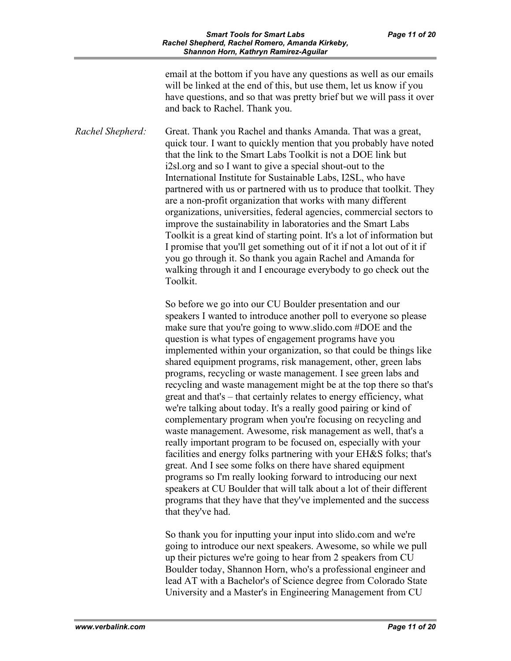email at the bottom if you have any questions as well as our emails will be linked at the end of this, but use them, let us know if you have questions, and so that was pretty brief but we will pass it over and back to Rachel. Thank you.

*Rachel Shepherd:* Great. Thank you Rachel and thanks Amanda. That was a great, quick tour. I want to quickly mention that you probably have noted that the link to the Smart Labs Toolkit is not a DOE link but i2sl.org and so I want to give a special shout-out to the International Institute for Sustainable Labs, I2SL, who have partnered with us or partnered with us to produce that toolkit. They are a non-profit organization that works with many different organizations, universities, federal agencies, commercial sectors to improve the sustainability in laboratories and the Smart Labs Toolkit is a great kind of starting point. It's a lot of information but I promise that you'll get something out of it if not a lot out of it if you go through it. So thank you again Rachel and Amanda for walking through it and I encourage everybody to go check out the Toolkit.

> So before we go into our CU Boulder presentation and our speakers I wanted to introduce another poll to everyone so please make sure that you're going to www.slido.com #DOE and the question is what types of engagement programs have you implemented within your organization, so that could be things like shared equipment programs, risk management, other, green labs programs, recycling or waste management. I see green labs and recycling and waste management might be at the top there so that's great and that's – that certainly relates to energy efficiency, what we're talking about today. It's a really good pairing or kind of complementary program when you're focusing on recycling and waste management. Awesome, risk management as well, that's a really important program to be focused on, especially with your facilities and energy folks partnering with your EH&S folks; that's great. And I see some folks on there have shared equipment programs so I'm really looking forward to introducing our next speakers at CU Boulder that will talk about a lot of their different programs that they have that they've implemented and the success that they've had.

So thank you for inputting your input into slido.com and we're going to introduce our next speakers. Awesome, so while we pull up their pictures we're going to hear from 2 speakers from CU Boulder today, Shannon Horn, who's a professional engineer and lead AT with a Bachelor's of Science degree from Colorado State University and a Master's in Engineering Management from CU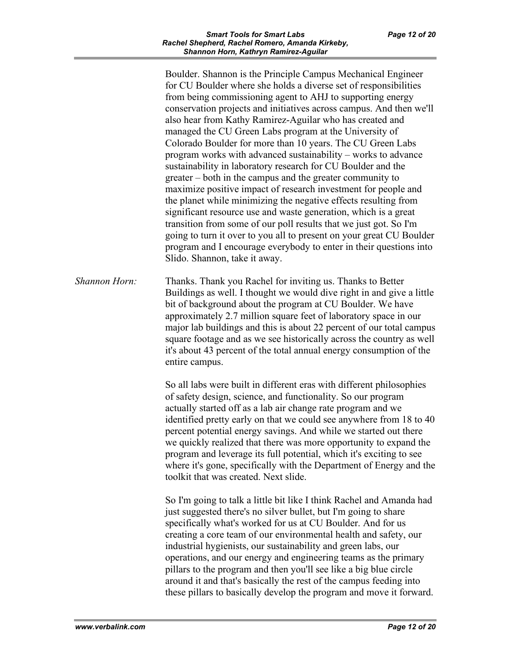Boulder. Shannon is the Principle Campus Mechanical Engineer for CU Boulder where she holds a diverse set of responsibilities from being commissioning agent to AHJ to supporting energy conservation projects and initiatives across campus. And then we'll also hear from Kathy Ramirez-Aguilar who has created and managed the CU Green Labs program at the University of Colorado Boulder for more than 10 years. The CU Green Labs program works with advanced sustainability – works to advance sustainability in laboratory research for CU Boulder and the greater – both in the campus and the greater community to maximize positive impact of research investment for people and the planet while minimizing the negative effects resulting from significant resource use and waste generation, which is a great transition from some of our poll results that we just got. So I'm going to turn it over to you all to present on your great CU Boulder program and I encourage everybody to enter in their questions into Slido. Shannon, take it away.

*Shannon Horn:* Thanks. Thank you Rachel for inviting us. Thanks to Better Buildings as well. I thought we would dive right in and give a little bit of background about the program at CU Boulder. We have approximately 2.7 million square feet of laboratory space in our major lab buildings and this is about 22 percent of our total campus square footage and as we see historically across the country as well it's about 43 percent of the total annual energy consumption of the entire campus.

> So all labs were built in different eras with different philosophies of safety design, science, and functionality. So our program actually started off as a lab air change rate program and we identified pretty early on that we could see anywhere from 18 to 40 percent potential energy savings. And while we started out there we quickly realized that there was more opportunity to expand the program and leverage its full potential, which it's exciting to see where it's gone, specifically with the Department of Energy and the toolkit that was created. Next slide.

> So I'm going to talk a little bit like I think Rachel and Amanda had just suggested there's no silver bullet, but I'm going to share specifically what's worked for us at CU Boulder. And for us creating a core team of our environmental health and safety, our industrial hygienists, our sustainability and green labs, our operations, and our energy and engineering teams as the primary pillars to the program and then you'll see like a big blue circle around it and that's basically the rest of the campus feeding into these pillars to basically develop the program and move it forward.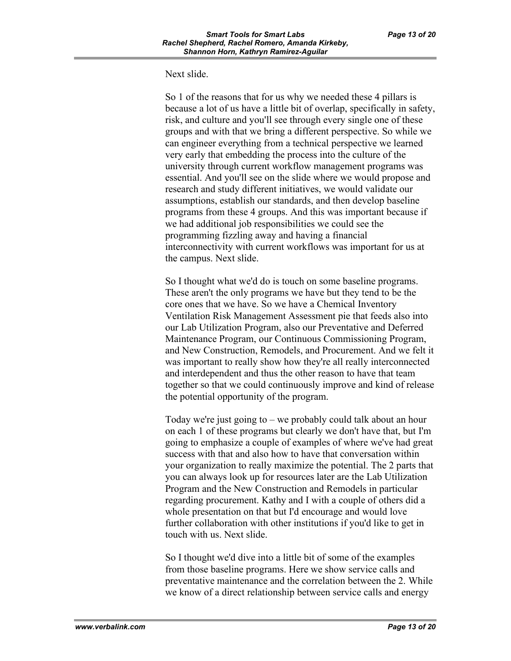## Next slide.

So 1 of the reasons that for us why we needed these 4 pillars is because a lot of us have a little bit of overlap, specifically in safety, risk, and culture and you'll see through every single one of these groups and with that we bring a different perspective. So while we can engineer everything from a technical perspective we learned very early that embedding the process into the culture of the university through current workflow management programs was essential. And you'll see on the slide where we would propose and research and study different initiatives, we would validate our assumptions, establish our standards, and then develop baseline programs from these 4 groups. And this was important because if we had additional job responsibilities we could see the programming fizzling away and having a financial interconnectivity with current workflows was important for us at the campus. Next slide.

So I thought what we'd do is touch on some baseline programs. These aren't the only programs we have but they tend to be the core ones that we have. So we have a Chemical Inventory Ventilation Risk Management Assessment pie that feeds also into our Lab Utilization Program, also our Preventative and Deferred Maintenance Program, our Continuous Commissioning Program, and New Construction, Remodels, and Procurement. And we felt it was important to really show how they're all really interconnected and interdependent and thus the other reason to have that team together so that we could continuously improve and kind of release the potential opportunity of the program.

Today we're just going to – we probably could talk about an hour on each 1 of these programs but clearly we don't have that, but I'm going to emphasize a couple of examples of where we've had great success with that and also how to have that conversation within your organization to really maximize the potential. The 2 parts that you can always look up for resources later are the Lab Utilization Program and the New Construction and Remodels in particular regarding procurement. Kathy and I with a couple of others did a whole presentation on that but I'd encourage and would love further collaboration with other institutions if you'd like to get in touch with us. Next slide.

So I thought we'd dive into a little bit of some of the examples from those baseline programs. Here we show service calls and preventative maintenance and the correlation between the 2. While we know of a direct relationship between service calls and energy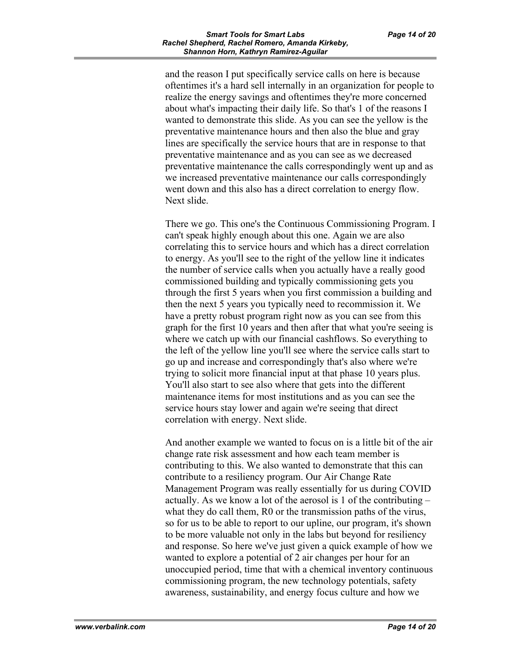and the reason I put specifically service calls on here is because oftentimes it's a hard sell internally in an organization for people to realize the energy savings and oftentimes they're more concerned about what's impacting their daily life. So that's 1 of the reasons I wanted to demonstrate this slide. As you can see the yellow is the preventative maintenance hours and then also the blue and gray lines are specifically the service hours that are in response to that preventative maintenance and as you can see as we decreased preventative maintenance the calls correspondingly went up and as we increased preventative maintenance our calls correspondingly went down and this also has a direct correlation to energy flow. Next slide.

There we go. This one's the Continuous Commissioning Program. I can't speak highly enough about this one. Again we are also correlating this to service hours and which has a direct correlation to energy. As you'll see to the right of the yellow line it indicates the number of service calls when you actually have a really good commissioned building and typically commissioning gets you through the first 5 years when you first commission a building and then the next 5 years you typically need to recommission it. We have a pretty robust program right now as you can see from this graph for the first 10 years and then after that what you're seeing is where we catch up with our financial cashflows. So everything to the left of the yellow line you'll see where the service calls start to go up and increase and correspondingly that's also where we're trying to solicit more financial input at that phase 10 years plus. You'll also start to see also where that gets into the different maintenance items for most institutions and as you can see the service hours stay lower and again we're seeing that direct correlation with energy. Next slide.

And another example we wanted to focus on is a little bit of the air change rate risk assessment and how each team member is contributing to this. We also wanted to demonstrate that this can contribute to a resiliency program. Our Air Change Rate Management Program was really essentially for us during COVID actually. As we know a lot of the aerosol is 1 of the contributing – what they do call them, R0 or the transmission paths of the virus, so for us to be able to report to our upline, our program, it's shown to be more valuable not only in the labs but beyond for resiliency and response. So here we've just given a quick example of how we wanted to explore a potential of 2 air changes per hour for an unoccupied period, time that with a chemical inventory continuous commissioning program, the new technology potentials, safety awareness, sustainability, and energy focus culture and how we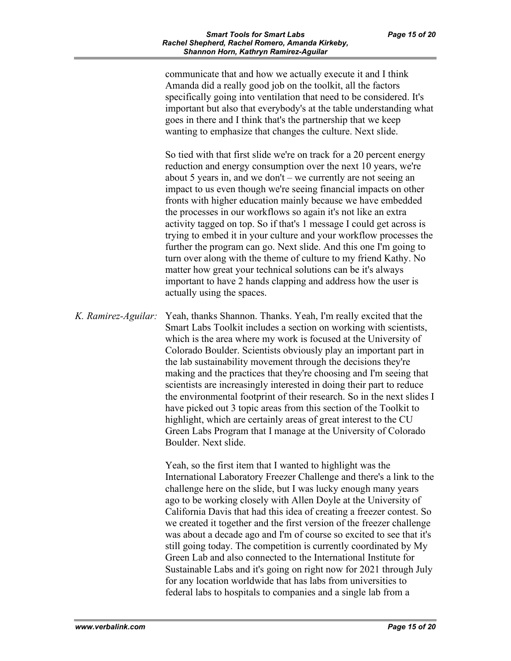communicate that and how we actually execute it and I think Amanda did a really good job on the toolkit, all the factors specifically going into ventilation that need to be considered. It's important but also that everybody's at the table understanding what goes in there and I think that's the partnership that we keep wanting to emphasize that changes the culture. Next slide.

So tied with that first slide we're on track for a 20 percent energy reduction and energy consumption over the next 10 years, we're about 5 years in, and we don't – we currently are not seeing an impact to us even though we're seeing financial impacts on other fronts with higher education mainly because we have embedded the processes in our workflows so again it's not like an extra activity tagged on top. So if that's 1 message I could get across is trying to embed it in your culture and your workflow processes the further the program can go. Next slide. And this one I'm going to turn over along with the theme of culture to my friend Kathy. No matter how great your technical solutions can be it's always important to have 2 hands clapping and address how the user is actually using the spaces.

*K. Ramirez-Aguilar:* Yeah, thanks Shannon. Thanks. Yeah, I'm really excited that the Smart Labs Toolkit includes a section on working with scientists, which is the area where my work is focused at the University of Colorado Boulder. Scientists obviously play an important part in the lab sustainability movement through the decisions they're making and the practices that they're choosing and I'm seeing that scientists are increasingly interested in doing their part to reduce the environmental footprint of their research. So in the next slides I have picked out 3 topic areas from this section of the Toolkit to highlight, which are certainly areas of great interest to the CU Green Labs Program that I manage at the University of Colorado Boulder. Next slide.

> Yeah, so the first item that I wanted to highlight was the International Laboratory Freezer Challenge and there's a link to the challenge here on the slide, but I was lucky enough many years ago to be working closely with Allen Doyle at the University of California Davis that had this idea of creating a freezer contest. So we created it together and the first version of the freezer challenge was about a decade ago and I'm of course so excited to see that it's still going today. The competition is currently coordinated by My Green Lab and also connected to the International Institute for Sustainable Labs and it's going on right now for 2021 through July for any location worldwide that has labs from universities to federal labs to hospitals to companies and a single lab from a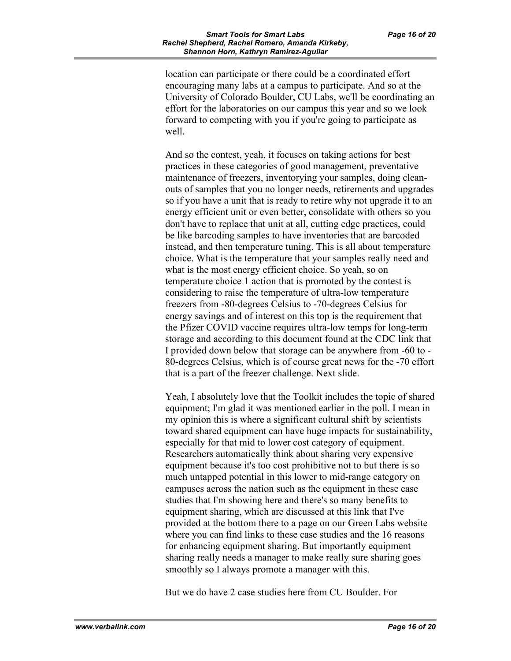location can participate or there could be a coordinated effort encouraging many labs at a campus to participate. And so at the University of Colorado Boulder, CU Labs, we'll be coordinating an effort for the laboratories on our campus this year and so we look forward to competing with you if you're going to participate as well.

And so the contest, yeah, it focuses on taking actions for best practices in these categories of good management, preventative maintenance of freezers, inventorying your samples, doing cleanouts of samples that you no longer needs, retirements and upgrades so if you have a unit that is ready to retire why not upgrade it to an energy efficient unit or even better, consolidate with others so you don't have to replace that unit at all, cutting edge practices, could be like barcoding samples to have inventories that are barcoded instead, and then temperature tuning. This is all about temperature choice. What is the temperature that your samples really need and what is the most energy efficient choice. So yeah, so on temperature choice 1 action that is promoted by the contest is considering to raise the temperature of ultra-low temperature freezers from -80-degrees Celsius to -70-degrees Celsius for energy savings and of interest on this top is the requirement that the Pfizer COVID vaccine requires ultra-low temps for long-term storage and according to this document found at the CDC link that I provided down below that storage can be anywhere from -60 to - 80-degrees Celsius, which is of course great news for the -70 effort that is a part of the freezer challenge. Next slide.

Yeah, I absolutely love that the Toolkit includes the topic of shared equipment; I'm glad it was mentioned earlier in the poll. I mean in my opinion this is where a significant cultural shift by scientists toward shared equipment can have huge impacts for sustainability, especially for that mid to lower cost category of equipment. Researchers automatically think about sharing very expensive equipment because it's too cost prohibitive not to but there is so much untapped potential in this lower to mid-range category on campuses across the nation such as the equipment in these case studies that I'm showing here and there's so many benefits to equipment sharing, which are discussed at this link that I've provided at the bottom there to a page on our Green Labs website where you can find links to these case studies and the 16 reasons for enhancing equipment sharing. But importantly equipment sharing really needs a manager to make really sure sharing goes smoothly so I always promote a manager with this.

But we do have 2 case studies here from CU Boulder. For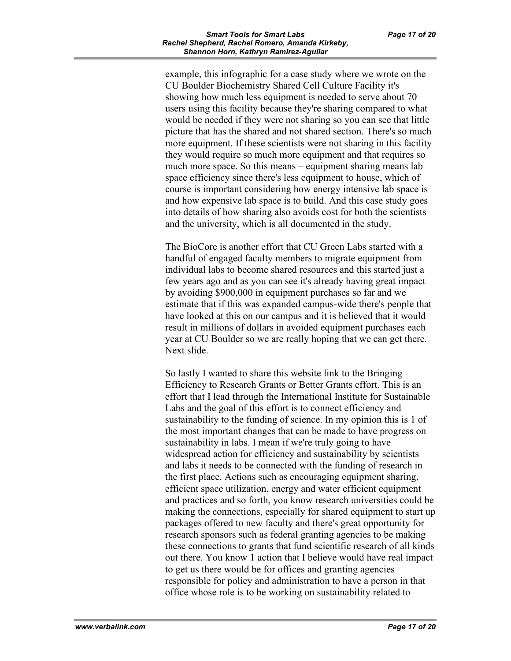example, this infographic for a case study where we wrote on the CU Boulder Biochemistry Shared Cell Culture Facility it's showing how much less equipment is needed to serve about 70 users using this facility because they're sharing compared to what would be needed if they were not sharing so you can see that little picture that has the shared and not shared section. There's so much more equipment. If these scientists were not sharing in this facility they would require so much more equipment and that requires so much more space. So this means – equipment sharing means lab space efficiency since there's less equipment to house, which of course is important considering how energy intensive lab space is and how expensive lab space is to build. And this case study goes into details of how sharing also avoids cost for both the scientists and the university, which is all documented in the study.

The BioCore is another effort that CU Green Labs started with a handful of engaged faculty members to migrate equipment from individual labs to become shared resources and this started just a few years ago and as you can see it's already having great impact by avoiding \$900,000 in equipment purchases so far and we estimate that if this was expanded campus-wide there's people that have looked at this on our campus and it is believed that it would result in millions of dollars in avoided equipment purchases each year at CU Boulder so we are really hoping that we can get there. Next slide.

So lastly I wanted to share this website link to the Bringing Efficiency to Research Grants or Better Grants effort. This is an effort that I lead through the International Institute for Sustainable Labs and the goal of this effort is to connect efficiency and sustainability to the funding of science. In my opinion this is 1 of the most important changes that can be made to have progress on sustainability in labs. I mean if we're truly going to have widespread action for efficiency and sustainability by scientists and labs it needs to be connected with the funding of research in the first place. Actions such as encouraging equipment sharing, efficient space utilization, energy and water efficient equipment and practices and so forth, you know research universities could be making the connections, especially for shared equipment to start up packages offered to new faculty and there's great opportunity for research sponsors such as federal granting agencies to be making these connections to grants that fund scientific research of all kinds out there. You know 1 action that I believe would have real impact to get us there would be for offices and granting agencies responsible for policy and administration to have a person in that office whose role is to be working on sustainability related to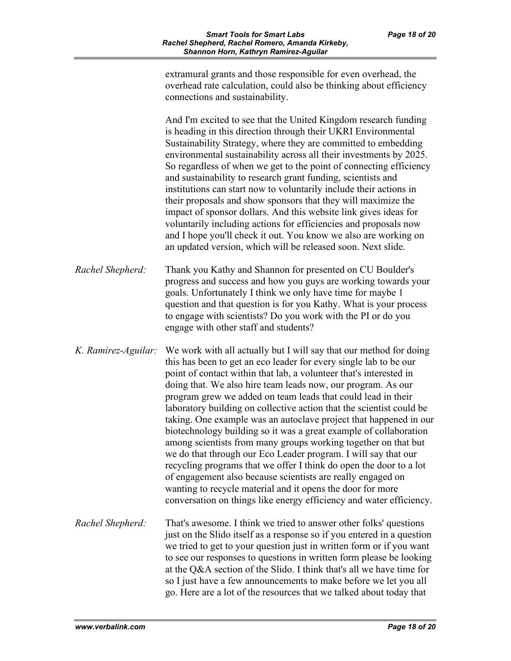|                     | extramural grants and those responsible for even overhead, the<br>overhead rate calculation, could also be thinking about efficiency<br>connections and sustainability.                                                                                                                                                                                                                                                                                                                                                                                                                                                                                                                                                                                                                                                                                                                                                                                                       |
|---------------------|-------------------------------------------------------------------------------------------------------------------------------------------------------------------------------------------------------------------------------------------------------------------------------------------------------------------------------------------------------------------------------------------------------------------------------------------------------------------------------------------------------------------------------------------------------------------------------------------------------------------------------------------------------------------------------------------------------------------------------------------------------------------------------------------------------------------------------------------------------------------------------------------------------------------------------------------------------------------------------|
|                     | And I'm excited to see that the United Kingdom research funding<br>is heading in this direction through their UKRI Environmental<br>Sustainability Strategy, where they are committed to embedding<br>environmental sustainability across all their investments by 2025.<br>So regardless of when we get to the point of connecting efficiency<br>and sustainability to research grant funding, scientists and<br>institutions can start now to voluntarily include their actions in<br>their proposals and show sponsors that they will maximize the<br>impact of sponsor dollars. And this website link gives ideas for<br>voluntarily including actions for efficiencies and proposals now<br>and I hope you'll check it out. You know we also are working on<br>an updated version, which will be released soon. Next slide.                                                                                                                                              |
| Rachel Shepherd:    | Thank you Kathy and Shannon for presented on CU Boulder's<br>progress and success and how you guys are working towards your<br>goals. Unfortunately I think we only have time for maybe 1<br>question and that question is for you Kathy. What is your process<br>to engage with scientists? Do you work with the PI or do you<br>engage with other staff and students?                                                                                                                                                                                                                                                                                                                                                                                                                                                                                                                                                                                                       |
| K. Ramirez-Aguilar: | We work with all actually but I will say that our method for doing<br>this has been to get an eco leader for every single lab to be our<br>point of contact within that lab, a volunteer that's interested in<br>doing that. We also hire team leads now, our program. As our<br>program grew we added on team leads that could lead in their<br>laboratory building on collective action that the scientist could be<br>taking. One example was an autoclave project that happened in our<br>biotechnology building so it was a great example of collaboration<br>among scientists from many groups working together on that but<br>we do that through our Eco Leader program. I will say that our<br>recycling programs that we offer I think do open the door to a lot<br>of engagement also because scientists are really engaged on<br>wanting to recycle material and it opens the door for more<br>conversation on things like energy efficiency and water efficiency. |
| Rachel Shepherd:    | That's awesome. I think we tried to answer other folks' questions<br>just on the Slido itself as a response so if you entered in a question<br>we tried to get to your question just in written form or if you want<br>to see our responses to questions in written form please be looking<br>at the Q&A section of the Slido. I think that's all we have time for<br>so I just have a few announcements to make before we let you all<br>go. Here are a lot of the resources that we talked about today that                                                                                                                                                                                                                                                                                                                                                                                                                                                                 |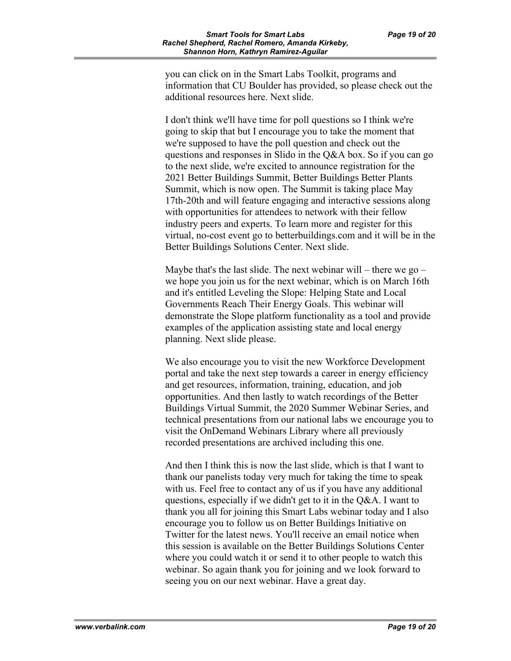you can click on in the Smart Labs Toolkit, programs and information that CU Boulder has provided, so please check out the additional resources here. Next slide.

I don't think we'll have time for poll questions so I think we're going to skip that but I encourage you to take the moment that we're supposed to have the poll question and check out the questions and responses in Slido in the Q&A box. So if you can go to the next slide, we're excited to announce registration for the 2021 Better Buildings Summit, Better Buildings Better Plants Summit, which is now open. The Summit is taking place May 17th-20th and will feature engaging and interactive sessions along with opportunities for attendees to network with their fellow industry peers and experts. To learn more and register for this virtual, no-cost event go to betterbuildings.com and it will be in the Better Buildings Solutions Center. Next slide.

Maybe that's the last slide. The next webinar will – there we go – we hope you join us for the next webinar, which is on March 16th and it's entitled Leveling the Slope: Helping State and Local Governments Reach Their Energy Goals. This webinar will demonstrate the Slope platform functionality as a tool and provide examples of the application assisting state and local energy planning. Next slide please.

We also encourage you to visit the new Workforce Development portal and take the next step towards a career in energy efficiency and get resources, information, training, education, and job opportunities. And then lastly to watch recordings of the Better Buildings Virtual Summit, the 2020 Summer Webinar Series, and technical presentations from our national labs we encourage you to visit the OnDemand Webinars Library where all previously recorded presentations are archived including this one.

And then I think this is now the last slide, which is that I want to thank our panelists today very much for taking the time to speak with us. Feel free to contact any of us if you have any additional questions, especially if we didn't get to it in the Q&A. I want to thank you all for joining this Smart Labs webinar today and I also encourage you to follow us on Better Buildings Initiative on Twitter for the latest news. You'll receive an email notice when this session is available on the Better Buildings Solutions Center where you could watch it or send it to other people to watch this webinar. So again thank you for joining and we look forward to seeing you on our next webinar. Have a great day.